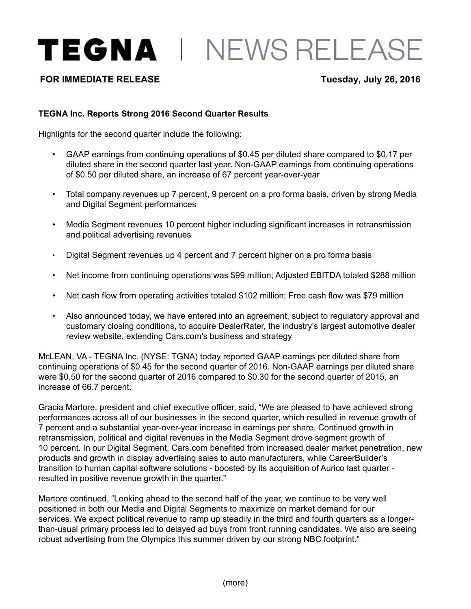TEGNA | NEWS RELEASE

# **FOR IMMEDIATE RELEASE Tuesday, July 26, 2016**

## **TEGNA Inc. Reports Strong 2016 Second Quarter Results**

Highlights for the second quarter include the following:

- GAAP earnings from continuing operations of \$0.45 per diluted share compared to \$0.17 per diluted share in the second quarter last year. Non-GAAP earnings from continuing operations of \$0.50 per diluted share, an increase of 67 percent year-over-year
- Total company revenues up 7 percent, 9 percent on a pro forma basis, driven by strong Media and Digital Segment performances
- Media Segment revenues 10 percent higher including significant increases in retransmission and political advertising revenues
- Digital Segment revenues up 4 percent and 7 percent higher on a pro forma basis
- Net income from continuing operations was \$99 million; Adjusted EBITDA totaled \$288 million
- Net cash flow from operating activities totaled \$102 million; Free cash flow was \$79 million
- Also announced today, we have entered into an agreement, subject to regulatory approval and customary closing conditions, to acquire DealerRater, the industry's largest automotive dealer review website, extending Cars.com's business and strategy

McLEAN, VA - TEGNA Inc. (NYSE: TGNA) today reported GAAP earnings per diluted share from continuing operations of \$0.45 for the second quarter of 2016. Non-GAAP earnings per diluted share were \$0.50 for the second quarter of 2016 compared to \$0.30 for the second quarter of 2015, an increase of 66.7 percent.

Gracia Martore, president and chief executive officer, said, "We are pleased to have achieved strong performances across all of our businesses in the second quarter, which resulted in revenue growth of 7 percent and a substantial year-over-year increase in earnings per share. Continued growth in retransmission, political and digital revenues in the Media Segment drove segment growth of 10 percent. In our Digital Segment, Cars.com benefited from increased dealer market penetration, new products and growth in display advertising sales to auto manufacturers, while CareerBuilder's transition to human capital software solutions - boosted by its acquisition of Aurico last quarter resulted in positive revenue growth in the quarter."

Martore continued, "Looking ahead to the second half of the year, we continue to be very well positioned in both our Media and Digital Segments to maximize on market demand for our services. We expect political revenue to ramp up steadily in the third and fourth quarters as a longerthan-usual primary process led to delayed ad buys from front running candidates. We also are seeing robust advertising from the Olympics this summer driven by our strong NBC footprint."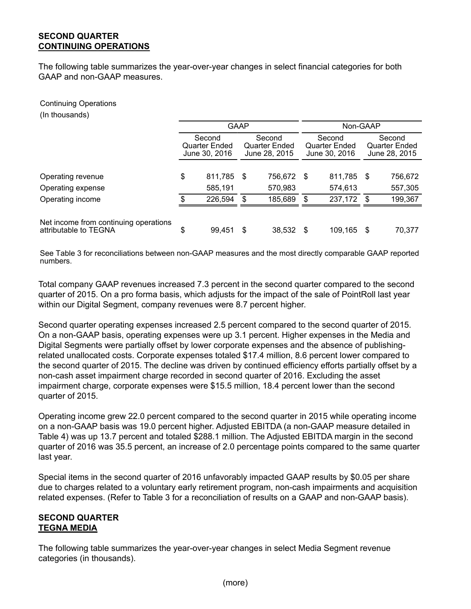# **SECOND QUARTER CONTINUING OPERATIONS**

The following table summarizes the year-over-year changes in select financial categories for both GAAP and non-GAAP measures.

Continuing Operations

(In thousands)

|                                                                |                                          | <b>GAAP</b> |                                          | Non-GAAP |                                          |      |                                          |  |  |  |
|----------------------------------------------------------------|------------------------------------------|-------------|------------------------------------------|----------|------------------------------------------|------|------------------------------------------|--|--|--|
|                                                                | Second<br>Quarter Ended<br>June 30, 2016 |             | Second<br>Quarter Ended<br>June 28, 2015 |          | Second<br>Quarter Ended<br>June 30, 2016 |      | Second<br>Quarter Ended<br>June 28, 2015 |  |  |  |
| Operating revenue                                              | \$<br>811,785                            | - \$        | 756,672 \$                               |          | 811,785                                  | - \$ | 756,672                                  |  |  |  |
| Operating expense                                              | 585,191                                  |             | 570,983                                  |          | 574,613                                  |      | 557,305                                  |  |  |  |
| Operating income                                               | \$<br>226,594                            | \$          | 185,689                                  | \$       | 237,172                                  | - \$ | 199,367                                  |  |  |  |
| Net income from continuing operations<br>attributable to TEGNA | \$<br>99,451                             | S           | 38,532                                   | - \$     | 109,165                                  | - \$ | 70,377                                   |  |  |  |

See Table 3 for reconciliations between non-GAAP measures and the most directly comparable GAAP reported numbers.

Total company GAAP revenues increased 7.3 percent in the second quarter compared to the second quarter of 2015. On a pro forma basis, which adjusts for the impact of the sale of PointRoll last year within our Digital Segment, company revenues were 8.7 percent higher.

Second quarter operating expenses increased 2.5 percent compared to the second quarter of 2015. On a non-GAAP basis, operating expenses were up 3.1 percent. Higher expenses in the Media and Digital Segments were partially offset by lower corporate expenses and the absence of publishingrelated unallocated costs. Corporate expenses totaled \$17.4 million, 8.6 percent lower compared to the second quarter of 2015. The decline was driven by continued efficiency efforts partially offset by a non-cash asset impairment charge recorded in second quarter of 2016. Excluding the asset impairment charge, corporate expenses were \$15.5 million, 18.4 percent lower than the second quarter of 2015.

Operating income grew 22.0 percent compared to the second quarter in 2015 while operating income on a non-GAAP basis was 19.0 percent higher. Adjusted EBITDA (a non-GAAP measure detailed in Table 4) was up 13.7 percent and totaled \$288.1 million. The Adjusted EBITDA margin in the second quarter of 2016 was 35.5 percent, an increase of 2.0 percentage points compared to the same quarter last year.

Special items in the second quarter of 2016 unfavorably impacted GAAP results by \$0.05 per share due to charges related to a voluntary early retirement program, non-cash impairments and acquisition related expenses. (Refer to Table 3 for a reconciliation of results on a GAAP and non-GAAP basis).

## **SECOND QUARTER TEGNA MEDIA**

The following table summarizes the year-over-year changes in select Media Segment revenue categories (in thousands).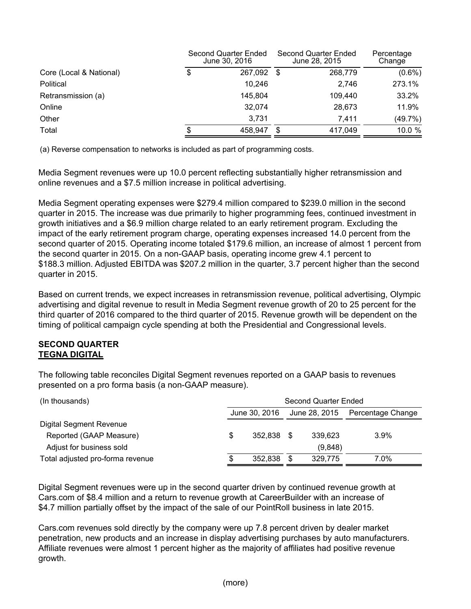|                         | Second Quarter Ended<br>June 30, 2016 |      | Second Quarter Ended<br>June 28, 2015 | Percentage<br>Change |
|-------------------------|---------------------------------------|------|---------------------------------------|----------------------|
| Core (Local & National) | \$<br>267,092                         | - \$ | 268,779                               | $(0.6\%)$            |
| Political               | 10,246                                |      | 2.746                                 | 273.1%               |
| Retransmission (a)      | 145,804                               |      | 109.440                               | 33.2%                |
| Online                  | 32.074                                |      | 28.673                                | 11.9%                |
| Other                   | 3.731                                 |      | 7.411                                 | (49.7%)              |
| Total                   | 458.947                               | S    | 417.049                               | 10.0 %               |

(a) Reverse compensation to networks is included as part of programming costs.

Media Segment revenues were up 10.0 percent reflecting substantially higher retransmission and online revenues and a \$7.5 million increase in political advertising.

Media Segment operating expenses were \$279.4 million compared to \$239.0 million in the second quarter in 2015. The increase was due primarily to higher programming fees, continued investment in growth initiatives and a \$6.9 million charge related to an early retirement program. Excluding the impact of the early retirement program charge, operating expenses increased 14.0 percent from the second quarter of 2015. Operating income totaled \$179.6 million, an increase of almost 1 percent from the second quarter in 2015. On a non-GAAP basis, operating income grew 4.1 percent to \$188.3 million. Adjusted EBITDA was \$207.2 million in the quarter, 3.7 percent higher than the second quarter in 2015.

Based on current trends, we expect increases in retransmission revenue, political advertising, Olympic advertising and digital revenue to result in Media Segment revenue growth of 20 to 25 percent for the third quarter of 2016 compared to the third quarter of 2015. Revenue growth will be dependent on the timing of political campaign cycle spending at both the Presidential and Congressional levels.

## **SECOND QUARTER TEGNA DIGITAL**

The following table reconciles Digital Segment revenues reported on a GAAP basis to revenues presented on a pro forma basis (a non-GAAP measure).

| Second Quarter Ended |         |               |                   |               |  |  |  |  |  |  |  |
|----------------------|---------|---------------|-------------------|---------------|--|--|--|--|--|--|--|
|                      |         |               | Percentage Change |               |  |  |  |  |  |  |  |
|                      |         |               |                   |               |  |  |  |  |  |  |  |
| S                    | 352.838 |               | 339.623           | $3.9\%$       |  |  |  |  |  |  |  |
|                      |         |               | (9,848)           |               |  |  |  |  |  |  |  |
|                      | 352.838 |               | 329.775           | 7.0%          |  |  |  |  |  |  |  |
|                      |         | June 30, 2016 |                   | June 28, 2015 |  |  |  |  |  |  |  |

Digital Segment revenues were up in the second quarter driven by continued revenue growth at Cars.com of \$8.4 million and a return to revenue growth at CareerBuilder with an increase of \$4.7 million partially offset by the impact of the sale of our PointRoll business in late 2015.

Cars.com revenues sold directly by the company were up 7.8 percent driven by dealer market penetration, new products and an increase in display advertising purchases by auto manufacturers. Affiliate revenues were almost 1 percent higher as the majority of affiliates had positive revenue growth.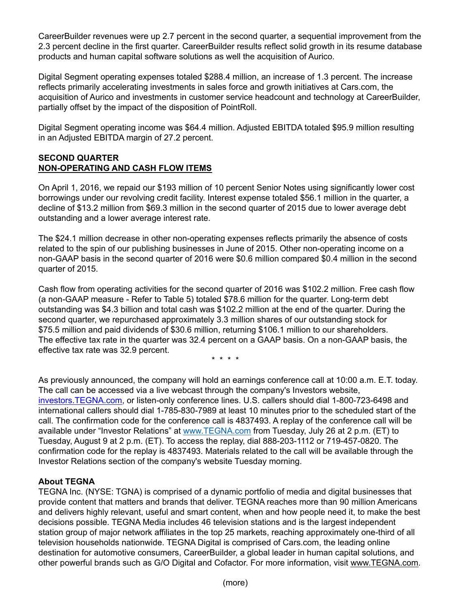CareerBuilder revenues were up 2.7 percent in the second quarter, a sequential improvement from the 2.3 percent decline in the first quarter. CareerBuilder results reflect solid growth in its resume database products and human capital software solutions as well the acquisition of Aurico.

Digital Segment operating expenses totaled \$288.4 million, an increase of 1.3 percent. The increase reflects primarily accelerating investments in sales force and growth initiatives at Cars.com, the acquisition of Aurico and investments in customer service headcount and technology at CareerBuilder, partially offset by the impact of the disposition of PointRoll.

Digital Segment operating income was \$64.4 million. Adjusted EBITDA totaled \$95.9 million resulting in an Adjusted EBITDA margin of 27.2 percent.

# **SECOND QUARTER NON-OPERATING AND CASH FLOW ITEMS**

On April 1, 2016, we repaid our \$193 million of 10 percent Senior Notes using significantly lower cost borrowings under our revolving credit facility. Interest expense totaled \$56.1 million in the quarter, a decline of \$13.2 million from \$69.3 million in the second quarter of 2015 due to lower average debt outstanding and a lower average interest rate.

The \$24.1 million decrease in other non-operating expenses reflects primarily the absence of costs related to the spin of our publishing businesses in June of 2015. Other non-operating income on a non-GAAP basis in the second quarter of 2016 were \$0.6 million compared \$0.4 million in the second quarter of 2015.

Cash flow from operating activities for the second quarter of 2016 was \$102.2 million. Free cash flow (a non-GAAP measure - Refer to Table 5) totaled \$78.6 million for the quarter. Long-term debt outstanding was \$4.3 billion and total cash was \$102.2 million at the end of the quarter. During the second quarter, we repurchased approximately 3.3 million shares of our outstanding stock for \$75.5 million and paid dividends of \$30.6 million, returning \$106.1 million to our shareholders. The effective tax rate in the quarter was 32.4 percent on a GAAP basis. On a non-GAAP basis, the effective tax rate was 32.9 percent.

\* \* \* \*

As previously announced, the company will hold an earnings conference call at 10:00 a.m. E.T. today. The call can be accessed via a live webcast through the company's Investors website, investors.TEGNA.com, or listen-only conference lines. U.S. callers should dial 1-800-723-6498 and international callers should dial 1-785-830-7989 at least 10 minutes prior to the scheduled start of the call. The confirmation code for the conference call is 4837493. A replay of the conference call will be available under "Investor Relations" at www.TEGNA.com from Tuesday, July 26 at 2 p.m. (ET) to Tuesday, August 9 at 2 p.m. (ET). To access the replay, dial 888-203-1112 or 719-457-0820. The confirmation code for the replay is 4837493. Materials related to the call will be available through the Investor Relations section of the company's website Tuesday morning.

# **About TEGNA**

TEGNA Inc. (NYSE: TGNA) is comprised of a dynamic portfolio of media and digital businesses that provide content that matters and brands that deliver. TEGNA reaches more than 90 million Americans and delivers highly relevant, useful and smart content, when and how people need it, to make the best decisions possible. TEGNA Media includes 46 television stations and is the largest independent station group of major network affiliates in the top 25 markets, reaching approximately one-third of all television households nationwide. TEGNA Digital is comprised of Cars.com, the leading online destination for automotive consumers, CareerBuilder, a global leader in human capital solutions, and other powerful brands such as G/O Digital and Cofactor. For more information, visit www.TEGNA.com.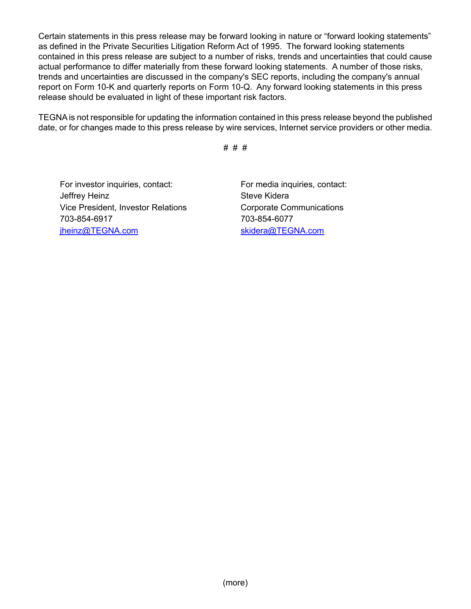Certain statements in this press release may be forward looking in nature or "forward looking statements" as defined in the Private Securities Litigation Reform Act of 1995. The forward looking statements contained in this press release are subject to a number of risks, trends and uncertainties that could cause actual performance to differ materially from these forward looking statements. A number of those risks, trends and uncertainties are discussed in the company's SEC reports, including the company's annual report on Form 10-K and quarterly reports on Form 10-Q. Any forward looking statements in this press release should be evaluated in light of these important risk factors.

TEGNAis not responsible for updating the information contained in this press release beyond the published date, or for changes made to this press release by wire services, Internet service providers or other media.

# # #

For investor inquiries, contact: For media inquiries, contact: Jeffrey Heinz **Steve Kidera** Vice President, Investor Relations Corporate Communications 703-854-6917 703-854-6077 jheinz@TEGNA.com skidera@TEGNA.com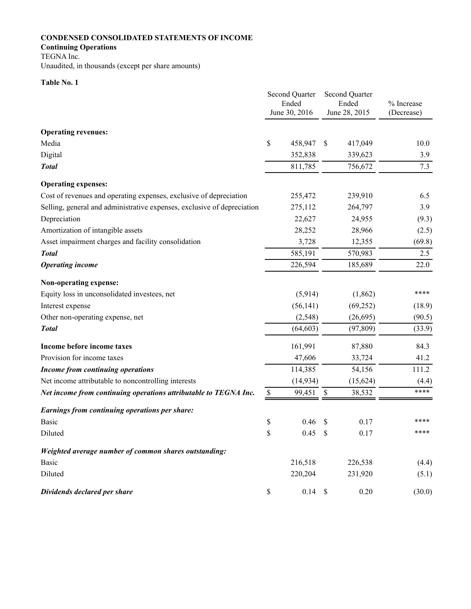# **CONDENSED CONSOLIDATED STATEMENTS OF INCOME**

## **Continuing Operations**

TEGNA Inc.

Unaudited, in thousands (except per share amounts)

## **Table No. 1**

|                                                                         |      | Second Quarter<br>Ended<br>June 30, 2016 |                           | <b>Second Quarter</b><br>Ended<br>June 28, 2015 | % Increase<br>(Decrease) |
|-------------------------------------------------------------------------|------|------------------------------------------|---------------------------|-------------------------------------------------|--------------------------|
|                                                                         |      |                                          |                           |                                                 |                          |
| <b>Operating revenues:</b>                                              |      |                                          |                           |                                                 |                          |
| Media                                                                   | \$   | 458,947                                  | <sup>\$</sup>             | 417,049                                         | 10.0                     |
| Digital                                                                 |      | 352,838                                  |                           | 339,623                                         | 3.9                      |
| <b>Total</b>                                                            |      | 811,785                                  |                           | 756,672                                         | 7.3                      |
| <b>Operating expenses:</b>                                              |      |                                          |                           |                                                 |                          |
| Cost of revenues and operating expenses, exclusive of depreciation      |      | 255,472                                  |                           | 239,910                                         | 6.5                      |
| Selling, general and administrative expenses, exclusive of depreciation |      | 275,112                                  |                           | 264,797                                         | 3.9                      |
| Depreciation                                                            |      | 22,627                                   |                           | 24,955                                          | (9.3)                    |
| Amortization of intangible assets                                       |      | 28,252                                   |                           | 28,966                                          | (2.5)                    |
| Asset impairment charges and facility consolidation                     |      | 3,728                                    |                           | 12,355                                          | (69.8)                   |
| <b>Total</b>                                                            |      | 585,191                                  |                           | 570,983                                         | 2.5                      |
| <b>Operating income</b>                                                 |      | 226,594                                  |                           | 185,689                                         | 22.0                     |
| Non-operating expense:                                                  |      |                                          |                           |                                                 |                          |
| Equity loss in unconsolidated investees, net                            |      | (5,914)                                  |                           | (1,862)                                         | ****                     |
| Interest expense                                                        |      | (56, 141)                                |                           | (69,252)                                        | (18.9)                   |
| Other non-operating expense, net                                        |      | (2, 548)                                 |                           | (26, 695)                                       | (90.5)                   |
| <b>Total</b>                                                            |      | (64, 603)                                |                           | (97, 809)                                       | (33.9)                   |
| Income before income taxes                                              |      | 161,991                                  |                           | 87,880                                          | 84.3                     |
| Provision for income taxes                                              |      | 47,606                                   |                           | 33,724                                          | 41.2                     |
| <b>Income from continuing operations</b>                                |      | 114,385                                  |                           | 54,156                                          | 111.2                    |
| Net income attributable to noncontrolling interests                     |      | (14, 934)                                |                           | (15, 624)                                       | (4.4)                    |
| Net income from continuing operations attributable to TEGNA Inc.        | $\$$ | 99,451                                   | $\boldsymbol{\mathsf{S}}$ | 38,532                                          | ****                     |
| Earnings from continuing operations per share:                          |      |                                          |                           |                                                 |                          |
| <b>Basic</b>                                                            | \$   | 0.46                                     | \$                        | 0.17                                            | ****                     |
| Diluted                                                                 | \$   | 0.45                                     | \$                        | 0.17                                            | ****                     |
| Weighted average number of common shares outstanding:                   |      |                                          |                           |                                                 |                          |
| <b>Basic</b>                                                            |      | 216,518                                  |                           | 226,538                                         | (4.4)                    |
| Diluted                                                                 |      | 220,204                                  |                           | 231,920                                         | (5.1)                    |
| Dividends declared per share                                            | \$   | $0.14$ \$                                |                           | 0.20                                            | (30.0)                   |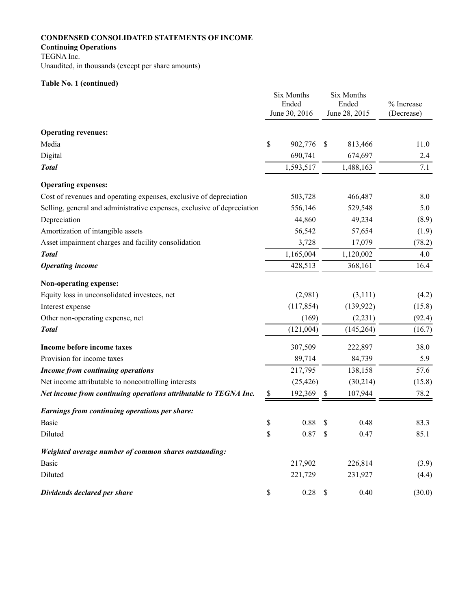# **CONDENSED CONSOLIDATED STATEMENTS OF INCOME**

## **Continuing Operations**

TEGNA Inc.

Unaudited, in thousands (except per share amounts)

# **Table No. 1 (continued)**

|                                                                         | Six Months<br>Ended<br>June 30, 2016 |               | Six Months<br>Ended<br>June 28, 2015 | % Increase<br>(Decrease) |
|-------------------------------------------------------------------------|--------------------------------------|---------------|--------------------------------------|--------------------------|
|                                                                         |                                      |               |                                      |                          |
| <b>Operating revenues:</b>                                              |                                      |               |                                      |                          |
| Media                                                                   | \$<br>902,776                        | <sup>\$</sup> | 813,466                              | 11.0                     |
| Digital                                                                 | 690,741                              |               | 674,697                              | 2.4                      |
| <b>Total</b>                                                            | 1,593,517                            |               | 1,488,163                            | 7.1                      |
| <b>Operating expenses:</b>                                              |                                      |               |                                      |                          |
| Cost of revenues and operating expenses, exclusive of depreciation      | 503,728                              |               | 466,487                              | 8.0                      |
| Selling, general and administrative expenses, exclusive of depreciation | 556,146                              |               | 529,548                              | 5.0                      |
| Depreciation                                                            | 44,860                               |               | 49,234                               | (8.9)                    |
| Amortization of intangible assets                                       | 56,542                               |               | 57,654                               | (1.9)                    |
| Asset impairment charges and facility consolidation                     | 3,728                                |               | 17,079                               | (78.2)                   |
| <b>Total</b>                                                            | 1,165,004                            |               | 1,120,002                            | 4.0                      |
| <b>Operating income</b>                                                 | 428,513                              |               | 368,161                              | 16.4                     |
| Non-operating expense:                                                  |                                      |               |                                      |                          |
| Equity loss in unconsolidated investees, net                            | (2,981)                              |               | (3,111)                              | (4.2)                    |
| Interest expense                                                        | (117, 854)                           |               | (139, 922)                           | (15.8)                   |
| Other non-operating expense, net                                        | (169)                                |               | (2,231)                              | (92.4)                   |
| <b>Total</b>                                                            | (121,004)                            |               | (145, 264)                           | (16.7)                   |
| Income before income taxes                                              | 307,509                              |               | 222,897                              | 38.0                     |
| Provision for income taxes                                              | 89,714                               |               | 84,739                               | 5.9                      |
| <b>Income from continuing operations</b>                                | 217,795                              |               | 138,158                              | 57.6                     |
| Net income attributable to noncontrolling interests                     | (25, 426)                            |               | (30,214)                             | (15.8)                   |
| Net income from continuing operations attributable to TEGNA Inc.        | \$<br>192,369                        | \$            | 107,944                              | 78.2                     |
| Earnings from continuing operations per share:                          |                                      |               |                                      |                          |
| <b>Basic</b>                                                            | \$<br>0.88                           | \$            | 0.48                                 | 83.3                     |
| Diluted                                                                 | \$<br>0.87                           | \$            | 0.47                                 | 85.1                     |
| Weighted average number of common shares outstanding:                   |                                      |               |                                      |                          |
| <b>Basic</b>                                                            | 217,902                              |               | 226,814                              | (3.9)                    |
| Diluted                                                                 | 221,729                              |               | 231,927                              | (4.4)                    |
| Dividends declared per share                                            | \$<br>$0.28$ \$                      |               | 0.40                                 | (30.0)                   |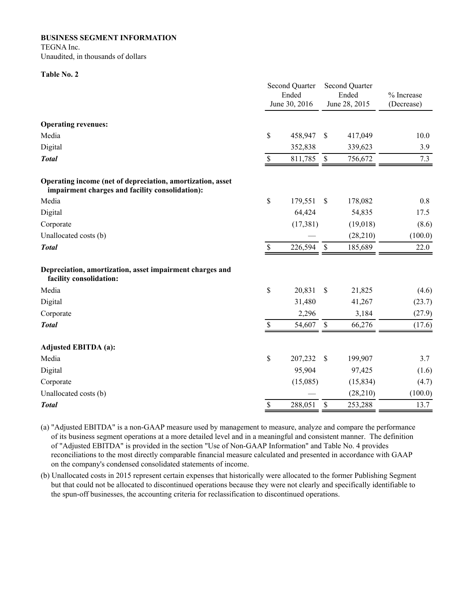**BUSINESS SEGMENT INFORMATION**

TEGNA Inc. Unaudited, in thousands of dollars

#### **Table No. 2**

|                                                                                                               |      | <b>Second Quarter</b><br>Ended<br>June 30, 2016 |               | Second Quarter<br>Ended<br>June 28, 2015 | % Increase<br>(Decrease) |
|---------------------------------------------------------------------------------------------------------------|------|-------------------------------------------------|---------------|------------------------------------------|--------------------------|
| <b>Operating revenues:</b>                                                                                    |      |                                                 |               |                                          |                          |
| Media                                                                                                         | \$   | 458,947                                         | \$            | 417,049                                  | 10.0                     |
| Digital                                                                                                       |      | 352,838                                         |               | 339,623                                  | 3.9                      |
| <b>Total</b>                                                                                                  | \$   | 811,785                                         | $\mathbb S$   | 756,672                                  | 7.3                      |
| Operating income (net of depreciation, amortization, asset<br>impairment charges and facility consolidation): |      |                                                 |               |                                          |                          |
| Media                                                                                                         | \$   | 179,551                                         | \$            | 178,082                                  | 0.8                      |
| Digital                                                                                                       |      | 64,424                                          |               | 54,835                                   | 17.5                     |
| Corporate                                                                                                     |      | (17, 381)                                       |               | (19,018)                                 | (8.6)                    |
| Unallocated costs (b)                                                                                         |      |                                                 |               | (28,210)                                 | (100.0)                  |
| <b>Total</b>                                                                                                  | $\$$ | 226,594                                         | $\mathcal{S}$ | 185,689                                  | 22.0                     |
| Depreciation, amortization, asset impairment charges and<br>facility consolidation:                           |      |                                                 |               |                                          |                          |
| Media                                                                                                         | \$   | 20,831                                          | \$            | 21,825                                   | (4.6)                    |
| Digital                                                                                                       |      | 31,480                                          |               | 41,267                                   | (23.7)                   |
| Corporate                                                                                                     |      | 2,296                                           |               | 3,184                                    | (27.9)                   |
| <b>Total</b>                                                                                                  | \$   | 54,607                                          | \$            | 66,276                                   | (17.6)                   |
| <b>Adjusted EBITDA (a):</b>                                                                                   |      |                                                 |               |                                          |                          |
| Media                                                                                                         | \$   | 207,232                                         | \$            | 199,907                                  | 3.7                      |
| Digital                                                                                                       |      | 95,904                                          |               | 97,425                                   | (1.6)                    |
| Corporate                                                                                                     |      | (15,085)                                        |               | (15, 834)                                | (4.7)                    |
| Unallocated costs (b)                                                                                         |      |                                                 |               | (28, 210)                                | (100.0)                  |
| <b>Total</b>                                                                                                  | \$   | 288,051                                         | \$            | 253,288                                  | 13.7                     |

(a) "Adjusted EBITDA" is a non-GAAP measure used by management to measure, analyze and compare the performance of its business segment operations at a more detailed level and in a meaningful and consistent manner. The definition of "Adjusted EBITDA" is provided in the section "Use of Non-GAAP Information" and Table No. 4 provides reconciliations to the most directly comparable financial measure calculated and presented in accordance with GAAP on the company's condensed consolidated statements of income.

(b) Unallocated costs in 2015 represent certain expenses that historically were allocated to the former Publishing Segment but that could not be allocated to discontinued operations because they were not clearly and specifically identifiable to the spun-off businesses, the accounting criteria for reclassification to discontinued operations.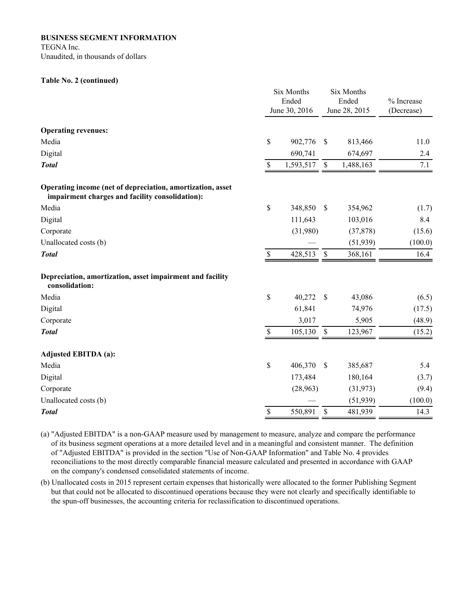#### **BUSINESS SEGMENT INFORMATION**

TEGNA Inc.

Unaudited, in thousands of dollars

#### **Table No. 2 (continued)**

|                                                                                                               |                           | Six Months<br>Ended<br>June 30, 2016 |              | Six Months<br>Ended<br>June 28, 2015 | % Increase<br>(Decrease) |
|---------------------------------------------------------------------------------------------------------------|---------------------------|--------------------------------------|--------------|--------------------------------------|--------------------------|
| <b>Operating revenues:</b>                                                                                    |                           |                                      |              |                                      |                          |
| Media                                                                                                         | \$                        | 902,776                              | \$           | 813,466                              | 11.0                     |
| Digital                                                                                                       |                           | 690,741                              |              | 674,697                              | 2.4                      |
| <b>Total</b>                                                                                                  | \$                        | 1,593,517                            | $\mathbf S$  | 1,488,163                            | 7.1                      |
| Operating income (net of depreciation, amortization, asset<br>impairment charges and facility consolidation): |                           |                                      |              |                                      |                          |
| Media                                                                                                         | \$                        | 348,850                              | \$           | 354,962                              | (1.7)                    |
| Digital                                                                                                       |                           | 111,643                              |              | 103,016                              | 8.4                      |
| Corporate                                                                                                     |                           | (31,980)                             |              | (37, 878)                            | (15.6)                   |
| Unallocated costs (b)                                                                                         |                           |                                      |              | (51, 939)                            | (100.0)                  |
| <b>Total</b>                                                                                                  | \$                        | 428,513                              | $\mathbb{S}$ | 368,161                              | 16.4                     |
| Depreciation, amortization, asset impairment and facility<br>consolidation:                                   |                           |                                      |              |                                      |                          |
| Media                                                                                                         | \$                        | 40,272                               | $\mathbf S$  | 43,086                               | (6.5)                    |
| Digital                                                                                                       |                           | 61,841                               |              | 74,976                               | (17.5)                   |
| Corporate                                                                                                     |                           | 3,017                                |              | 5,905                                | (48.9)                   |
| <b>Total</b>                                                                                                  | $\boldsymbol{\mathsf{S}}$ | 105,130                              | $\mathbb S$  | 123,967                              | (15.2)                   |
| <b>Adjusted EBITDA (a):</b>                                                                                   |                           |                                      |              |                                      |                          |
| Media                                                                                                         | \$                        | 406,370                              | \$           | 385,687                              | 5.4                      |
| Digital                                                                                                       |                           | 173,484                              |              | 180,164                              | (3.7)                    |
| Corporate                                                                                                     |                           | (28,963)                             |              | (31, 973)                            | (9.4)                    |
| Unallocated costs (b)                                                                                         |                           |                                      |              | (51, 939)                            | (100.0)                  |
| <b>Total</b>                                                                                                  | \$                        | 550,891                              | \$           | 481,939                              | 14.3                     |

(a) "Adjusted EBITDA" is a non-GAAP measure used by management to measure, analyze and compare the performance of its business segment operations at a more detailed level and in a meaningful and consistent manner. The definition of "Adjusted EBITDA" is provided in the section "Use of Non-GAAP Information" and Table No. 4 provides reconciliations to the most directly comparable financial measure calculated and presented in accordance with GAAP on the company's condensed consolidated statements of income.

(b) Unallocated costs in 2015 represent certain expenses that historically were allocated to the former Publishing Segment but that could not be allocated to discontinued operations because they were not clearly and specifically identifiable to the spun-off businesses, the accounting criteria for reclassification to discontinued operations.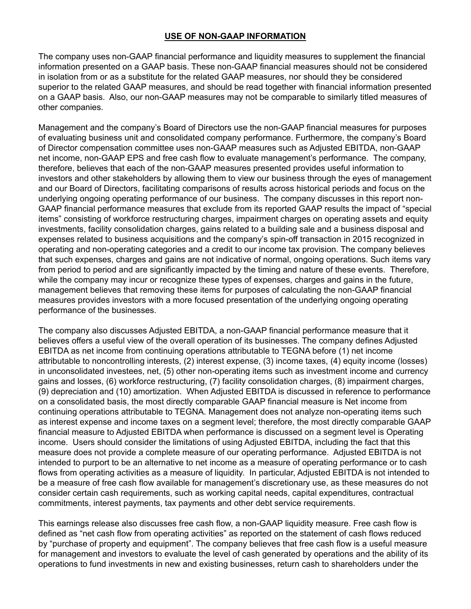# **USE OF NON-GAAP INFORMATION**

The company uses non-GAAP financial performance and liquidity measures to supplement the financial information presented on a GAAP basis. These non-GAAP financial measures should not be considered in isolation from or as a substitute for the related GAAP measures, nor should they be considered superior to the related GAAP measures, and should be read together with financial information presented on a GAAP basis. Also, our non-GAAP measures may not be comparable to similarly titled measures of other companies.

Management and the company's Board of Directors use the non-GAAP financial measures for purposes of evaluating business unit and consolidated company performance. Furthermore, the company's Board of Director compensation committee uses non-GAAP measures such as Adjusted EBITDA, non-GAAP net income, non-GAAP EPS and free cash flow to evaluate management's performance. The company, therefore, believes that each of the non-GAAP measures presented provides useful information to investors and other stakeholders by allowing them to view our business through the eyes of management and our Board of Directors, facilitating comparisons of results across historical periods and focus on the underlying ongoing operating performance of our business. The company discusses in this report non-GAAP financial performance measures that exclude from its reported GAAP results the impact of "special items" consisting of workforce restructuring charges, impairment charges on operating assets and equity investments, facility consolidation charges, gains related to a building sale and a business disposal and expenses related to business acquisitions and the company's spin-off transaction in 2015 recognized in operating and non-operating categories and a credit to our income tax provision. The company believes that such expenses, charges and gains are not indicative of normal, ongoing operations. Such items vary from period to period and are significantly impacted by the timing and nature of these events. Therefore, while the company may incur or recognize these types of expenses, charges and gains in the future, management believes that removing these items for purposes of calculating the non-GAAP financial measures provides investors with a more focused presentation of the underlying ongoing operating performance of the businesses.

The company also discusses Adjusted EBITDA, a non-GAAP financial performance measure that it believes offers a useful view of the overall operation of its businesses. The company defines Adjusted EBITDA as net income from continuing operations attributable to TEGNA before (1) net income attributable to noncontrolling interests, (2) interest expense, (3) income taxes, (4) equity income (losses) in unconsolidated investees, net, (5) other non-operating items such as investment income and currency gains and losses, (6) workforce restructuring, (7) facility consolidation charges, (8) impairment charges, (9) depreciation and (10) amortization. When Adjusted EBITDA is discussed in reference to performance on a consolidated basis, the most directly comparable GAAP financial measure is Net income from continuing operations attributable to TEGNA. Management does not analyze non-operating items such as interest expense and income taxes on a segment level; therefore, the most directly comparable GAAP financial measure to Adjusted EBITDA when performance is discussed on a segment level is Operating income. Users should consider the limitations of using Adjusted EBITDA, including the fact that this measure does not provide a complete measure of our operating performance. Adjusted EBITDA is not intended to purport to be an alternative to net income as a measure of operating performance or to cash flows from operating activities as a measure of liquidity. In particular, Adjusted EBITDA is not intended to be a measure of free cash flow available for management's discretionary use, as these measures do not consider certain cash requirements, such as working capital needs, capital expenditures, contractual commitments, interest payments, tax payments and other debt service requirements.

This earnings release also discusses free cash flow, a non-GAAP liquidity measure. Free cash flow is defined as "net cash flow from operating activities" as reported on the statement of cash flows reduced by "purchase of property and equipment". The company believes that free cash flow is a useful measure for management and investors to evaluate the level of cash generated by operations and the ability of its operations to fund investments in new and existing businesses, return cash to shareholders under the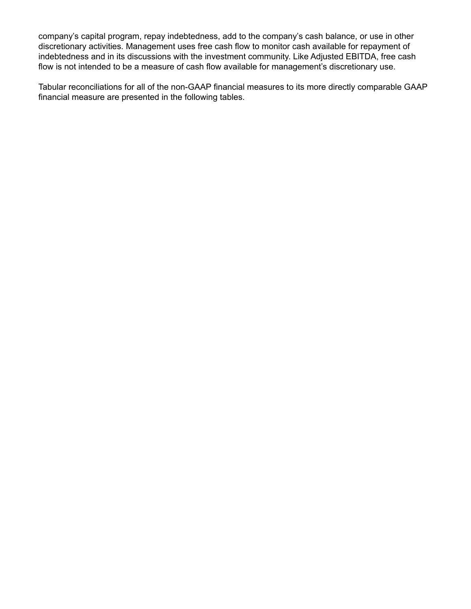company's capital program, repay indebtedness, add to the company's cash balance, or use in other discretionary activities. Management uses free cash flow to monitor cash available for repayment of indebtedness and in its discussions with the investment community. Like Adjusted EBITDA, free cash flow is not intended to be a measure of cash flow available for management's discretionary use.

Tabular reconciliations for all of the non-GAAP financial measures to its more directly comparable GAAP financial measure are presented in the following tables.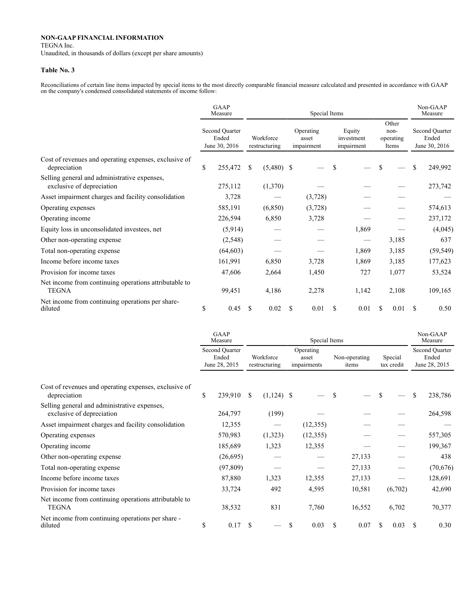TEGNA Inc.

Unaudited, in thousands of dollars (except per share amounts)

#### **Table No. 3**

Reconciliations of certain line items impacted by special items to the most directly comparable financial measure calculated and presented in accordance with GAAP on the company's condensed consolidated statements of income follow:

|                                                                           |    | <b>GAAP</b><br>Measure                   |    |                            |     | Non-GAAP<br>Measure              |                                    |    |                                     |     |                                          |
|---------------------------------------------------------------------------|----|------------------------------------------|----|----------------------------|-----|----------------------------------|------------------------------------|----|-------------------------------------|-----|------------------------------------------|
| Cost of revenues and operating expenses, exclusive of<br>depreciation     |    | Second Quarter<br>Ended<br>June 30, 2016 |    | Workforce<br>restructuring |     | Operating<br>asset<br>impairment | Equity<br>investment<br>impairment |    | Other<br>non-<br>operating<br>Items |     | Second Quarter<br>Ended<br>June 30, 2016 |
|                                                                           |    | 255,472                                  | S  | $(5,480)$ \$               |     |                                  | \$                                 | S  |                                     | \$  | 249,992                                  |
| Selling general and administrative expenses,<br>exclusive of depreciation |    | 275,112                                  |    | (1,370)                    |     |                                  |                                    |    |                                     |     | 273,742                                  |
| Asset impairment charges and facility consolidation                       |    | 3,728                                    |    |                            |     | (3,728)                          |                                    |    |                                     |     |                                          |
| Operating expenses                                                        |    | 585,191                                  |    | (6, 850)                   |     | (3,728)                          |                                    |    |                                     |     | 574,613                                  |
| Operating income                                                          |    | 226,594                                  |    | 6,850                      |     | 3,728                            |                                    |    |                                     |     | 237,172                                  |
| Equity loss in unconsolidated investees, net                              |    | (5,914)                                  |    |                            |     |                                  | 1,869                              |    |                                     |     | (4,045)                                  |
| Other non-operating expense                                               |    | (2, 548)                                 |    |                            |     |                                  |                                    |    | 3,185                               |     | 637                                      |
| Total non-operating expense                                               |    | (64, 603)                                |    |                            |     |                                  | 1,869                              |    | 3,185                               |     | (59, 549)                                |
| Income before income taxes                                                |    | 161,991                                  |    | 6,850                      |     | 3,728                            | 1,869                              |    | 3,185                               |     | 177,623                                  |
| Provision for income taxes                                                |    | 47,606                                   |    | 2,664                      |     | 1,450                            | 727                                |    | 1,077                               |     | 53,524                                   |
| Net income from continuing operations attributable to<br><b>TEGNA</b>     |    | 99,451                                   |    | 4,186                      |     | 2,278                            | 1,142                              |    | 2,108                               |     | 109,165                                  |
| Net income from continuing operations per share-<br>diluted               | \$ | 0.45                                     | -S | 0.02                       | \$. | 0.01                             | \$<br>0.01                         | \$ | 0.01                                | \$. | 0.50                                     |

|                                                                           |                                          | GAAP<br>Measure |     |                            |                                   | Non-GAAP<br>Measure |                        |                       |         |     |                                          |
|---------------------------------------------------------------------------|------------------------------------------|-----------------|-----|----------------------------|-----------------------------------|---------------------|------------------------|-----------------------|---------|-----|------------------------------------------|
|                                                                           | Second Quarter<br>Ended<br>June 28, 2015 |                 |     | Workforce<br>restructuring | Operating<br>asset<br>impairments |                     | Non-operating<br>items | Special<br>tax credit |         |     | Second Quarter<br>Ended<br>June 28, 2015 |
| Cost of revenues and operating expenses, exclusive of                     |                                          |                 |     |                            |                                   |                     |                        |                       |         |     |                                          |
| depreciation                                                              | <sup>\$</sup>                            | 239,910         | S.  | $(1,124)$ \$               |                                   | S                   |                        | \$                    |         | \$  | 238,786                                  |
| Selling general and administrative expenses,<br>exclusive of depreciation |                                          | 264,797         |     | (199)                      |                                   |                     |                        |                       |         |     | 264,598                                  |
| Asset impairment charges and facility consolidation                       |                                          | 12,355          |     |                            | (12,355)                          |                     |                        |                       |         |     |                                          |
| Operating expenses                                                        |                                          | 570,983         |     | (1,323)                    | (12,355)                          |                     |                        |                       |         |     | 557,305                                  |
| Operating income                                                          |                                          | 185,689         |     | 1,323                      | 12,355                            |                     |                        |                       |         |     | 199,367                                  |
| Other non-operating expense                                               |                                          | (26,695)        |     |                            |                                   |                     | 27,133                 |                       |         |     | 438                                      |
| Total non-operating expense                                               |                                          | (97, 809)       |     |                            |                                   |                     | 27,133                 |                       |         |     | (70,676)                                 |
| Income before income taxes                                                |                                          | 87,880          |     | 1,323                      | 12,355                            |                     | 27,133                 |                       |         |     | 128,691                                  |
| Provision for income taxes                                                |                                          | 33,724          |     | 492                        | 4,595                             |                     | 10,581                 |                       | (6,702) |     | 42,690                                   |
| Net income from continuing operations attributable to<br><b>TEGNA</b>     |                                          | 38,532          |     | 831                        | 7,760                             |                     | 16,552                 |                       | 6,702   |     | 70,377                                   |
| Net income from continuing operations per share -<br>diluted              | \$                                       | 0.17            | \$. |                            | \$<br>0.03                        | \$                  | 0.07                   | \$                    | 0.03    | \$. | 0.30                                     |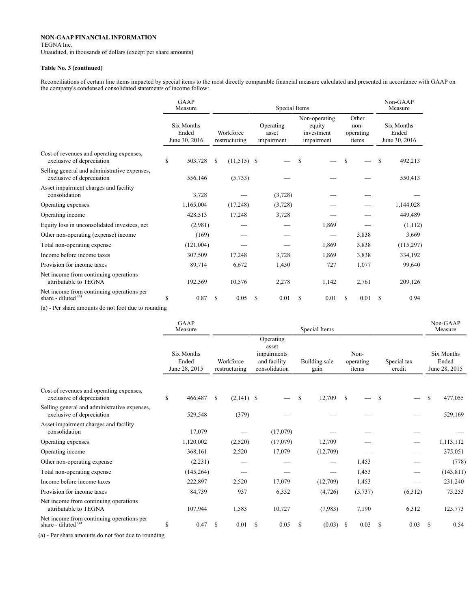TEGNA Inc.

Unaudited, in thousands of dollars (except per share amounts)

#### **Table No. 3 (continued)**

Reconciliations of certain line items impacted by special items to the most directly comparable financial measure calculated and presented in accordance with GAAP on the company's condensed consolidated statements of income follow:

|                                                                           | <b>GAAP</b><br>Special Items<br>Measure |               |                            |          |                                  |    |                                                     |   |                                     |   | Non-GAAP<br>Measure                  |
|---------------------------------------------------------------------------|-----------------------------------------|---------------|----------------------------|----------|----------------------------------|----|-----------------------------------------------------|---|-------------------------------------|---|--------------------------------------|
|                                                                           | Six Months<br>Ended<br>June 30, 2016    |               | Workforce<br>restructuring |          | Operating<br>asset<br>impairment |    | Non-operating<br>equity<br>investment<br>impairment |   | Other<br>non-<br>operating<br>items |   | Six Months<br>Ended<br>June 30, 2016 |
| Cost of revenues and operating expenses,<br>exclusive of depreciation     | \$<br>503,728                           | <sup>\$</sup> | $(11,515)$ \$              |          |                                  | \$ |                                                     | S |                                     | S | 492,213                              |
| Selling general and administrative expenses,<br>exclusive of depreciation | 556,146                                 |               | (5,733)                    |          |                                  |    |                                                     |   |                                     |   | 550,413                              |
| Asset impairment charges and facility<br>consolidation                    | 3,728                                   |               |                            |          | (3,728)                          |    |                                                     |   |                                     |   |                                      |
| Operating expenses                                                        | 1,165,004                               |               | (17,248)                   |          | (3,728)                          |    |                                                     |   |                                     |   | 1,144,028                            |
| Operating income                                                          | 428,513                                 |               | 17,248                     |          | 3,728                            |    |                                                     |   |                                     |   | 449,489                              |
| Equity loss in unconsolidated investees, net                              | (2,981)                                 |               |                            |          |                                  |    | 1,869                                               |   |                                     |   | (1,112)                              |
| Other non-operating (expense) income                                      | (169)                                   |               |                            |          |                                  |    |                                                     |   | 3,838                               |   | 3,669                                |
| Total non-operating expense                                               | (121,004)                               |               |                            |          |                                  |    | 1,869                                               |   | 3,838                               |   | (115,297)                            |
| Income before income taxes                                                | 307,509                                 |               | 17,248                     |          | 3,728                            |    | 1,869                                               |   | 3,838                               |   | 334,192                              |
| Provision for income taxes                                                | 89,714                                  |               | 6,672                      |          | 1,450                            |    | 727                                                 |   | 1,077                               |   | 99,640                               |
| Net income from continuing operations<br>attributable to TEGNA            | 192,369                                 |               | 10,576                     |          | 2,278                            |    | 1,142                                               |   | 2,761                               |   | 209,126                              |
| Net income from continuing operations per<br>share - diluted (a)          | \$<br>0.87                              | S             | 0.05                       | <b>S</b> | 0.01                             | \$ | 0.01                                                | S | 0.01                                | S | 0.94                                 |

(a) - Per share amounts do not foot due to rounding

|                                                                           | <b>GAAP</b><br>Measure               |               |                            | Non-GAAP<br>Measure |                                                                    |               |                       |               |                            |    |                       |               |                                      |
|---------------------------------------------------------------------------|--------------------------------------|---------------|----------------------------|---------------------|--------------------------------------------------------------------|---------------|-----------------------|---------------|----------------------------|----|-----------------------|---------------|--------------------------------------|
|                                                                           | Six Months<br>Ended<br>June 28, 2015 |               | Workforce<br>restructuring |                     | Operating<br>asset<br>impairments<br>and facility<br>consolidation |               | Building sale<br>gain |               | Non-<br>operating<br>items |    | Special tax<br>credit |               | Six Months<br>Ended<br>June 28, 2015 |
| Cost of revenues and operating expenses,                                  |                                      |               |                            |                     |                                                                    |               |                       |               |                            |    |                       |               |                                      |
| exclusive of depreciation                                                 | \$<br>466,487 \$                     |               | $(2,141)$ \$               |                     |                                                                    | <sup>\$</sup> | 12,709                | <sup>\$</sup> |                            | -S |                       | \$            | 477,055                              |
| Selling general and administrative expenses,<br>exclusive of depreciation | 529,548                              |               | (379)                      |                     |                                                                    |               |                       |               |                            |    |                       |               | 529,169                              |
| Asset impairment charges and facility<br>consolidation                    | 17,079                               |               |                            |                     | (17,079)                                                           |               |                       |               |                            |    |                       |               |                                      |
| Operating expenses                                                        | 1,120,002                            |               | (2,520)                    |                     | (17,079)                                                           |               | 12,709                |               |                            |    |                       |               | 1,113,112                            |
| Operating income                                                          | 368,161                              |               | 2,520                      |                     | 17,079                                                             |               | (12,709)              |               |                            |    |                       |               | 375,051                              |
| Other non-operating expense                                               | (2,231)                              |               |                            |                     |                                                                    |               |                       |               | 1,453                      |    |                       |               | (778)                                |
| Total non-operating expense                                               | (145, 264)                           |               |                            |                     |                                                                    |               |                       |               | 1,453                      |    | --                    |               | (143, 811)                           |
| Income before income taxes                                                | 222,897                              |               | 2,520                      |                     | 17,079                                                             |               | (12,709)              |               | 1,453                      |    |                       |               | 231,240                              |
| Provision for income taxes                                                | 84,739                               |               | 937                        |                     | 6,352                                                              |               | (4,726)               |               | (5,737)                    |    | (6,312)               |               | 75,253                               |
| Net income from continuing operations<br>attributable to TEGNA            | 107,944                              |               | 1,583                      |                     | 10,727                                                             |               | (7,983)               |               | 7,190                      |    | 6,312                 |               | 125,773                              |
| Net income from continuing operations per<br>share - diluted (a)          | \$<br>0.47                           | <sup>\$</sup> | 0.01                       | - \$                | 0.05                                                               | <sup>\$</sup> | $(0.03)$ \$           |               | 0.03                       | -S | 0.03                  | <sup>\$</sup> | 0.54                                 |

(a) - Per share amounts do not foot due to rounding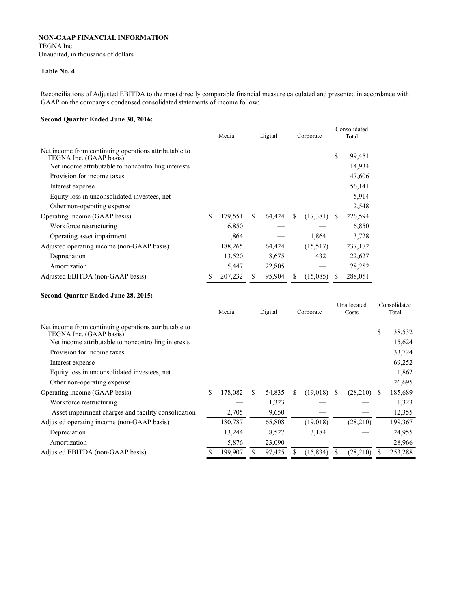TEGNA Inc.

Unaudited, in thousands of dollars

### **Table No. 4**

Reconciliations of Adjusted EBITDA to the most directly comparable financial measure calculated and presented in accordance with GAAP on the company's condensed consolidated statements of income follow:

### **Second Quarter Ended June 30, 2016:**

|                                                                                  | Media         | Digital      |   | Corporate |               | Consolidated<br>Total |
|----------------------------------------------------------------------------------|---------------|--------------|---|-----------|---------------|-----------------------|
| Net income from continuing operations attributable to<br>TEGNA Inc. (GAAP basis) |               |              |   |           | \$            | 99,451                |
| Net income attributable to noncontrolling interests                              |               |              |   |           |               | 14,934                |
| Provision for income taxes                                                       |               |              |   |           |               | 47,606                |
| Interest expense                                                                 |               |              |   |           |               | 56,141                |
| Equity loss in unconsolidated investees, net                                     |               |              |   |           |               | 5,914                 |
| Other non-operating expense                                                      |               |              |   |           |               | 2,548                 |
| Operating income (GAAP basis)                                                    | \$<br>179,551 | \$<br>64,424 | S | (17,381)  | <sup>\$</sup> | 226,594               |
| Workforce restructuring                                                          | 6,850         |              |   |           |               | 6,850                 |
| Operating asset impairment                                                       | 1,864         |              |   | 1,864     |               | 3,728                 |
| Adjusted operating income (non-GAAP basis)                                       | 188,265       | 64,424       |   | (15,517)  |               | 237,172               |
| Depreciation                                                                     | 13,520        | 8,675        |   | 432       |               | 22,627                |
| Amortization                                                                     | 5,447         | 22,805       |   |           |               | 28,252                |
| Adjusted EBITDA (non-GAAP basis)                                                 | \$<br>207,232 | \$<br>95,904 |   | (15,085)  |               | 288,051               |

#### **Second Quarter Ended June 28, 2015:**

|                                                                                  | Media<br>Digital |    |        | Corporate |           | Unallocated<br>Costs |           | Consolidated<br>Total |         |
|----------------------------------------------------------------------------------|------------------|----|--------|-----------|-----------|----------------------|-----------|-----------------------|---------|
|                                                                                  |                  |    |        |           |           |                      |           |                       |         |
| Net income from continuing operations attributable to<br>TEGNA Inc. (GAAP basis) |                  |    |        |           |           |                      |           | \$                    | 38,532  |
| Net income attributable to noncontrolling interests                              |                  |    |        |           |           |                      |           |                       | 15,624  |
| Provision for income taxes                                                       |                  |    |        |           |           |                      |           |                       | 33,724  |
| Interest expense                                                                 |                  |    |        |           |           |                      |           |                       | 69,252  |
| Equity loss in unconsolidated investees, net                                     |                  |    |        |           |           |                      |           |                       | 1,862   |
| Other non-operating expense                                                      |                  |    |        |           |           |                      |           |                       | 26,695  |
| Operating income (GAAP basis)                                                    | \$<br>178,082    | \$ | 54,835 | S         | (19,018)  | -S                   | (28,210)  | S                     | 185,689 |
| Workforce restructuring                                                          |                  |    | 1,323  |           |           |                      |           |                       | 1,323   |
| Asset impairment charges and facility consolidation                              | 2,705            |    | 9,650  |           |           |                      |           |                       | 12,355  |
| Adjusted operating income (non-GAAP basis)                                       | 180,787          |    | 65,808 |           | (19,018)  |                      | (28,210)  |                       | 199,367 |
| Depreciation                                                                     | 13,244           |    | 8,527  |           | 3,184     |                      |           |                       | 24,955  |
| Amortization                                                                     | 5,876            |    | 23,090 |           |           |                      |           |                       | 28,966  |
| Adjusted EBITDA (non-GAAP basis)                                                 | 199,907          |    | 97,425 |           | (15, 834) |                      | (28, 210) |                       | 253,288 |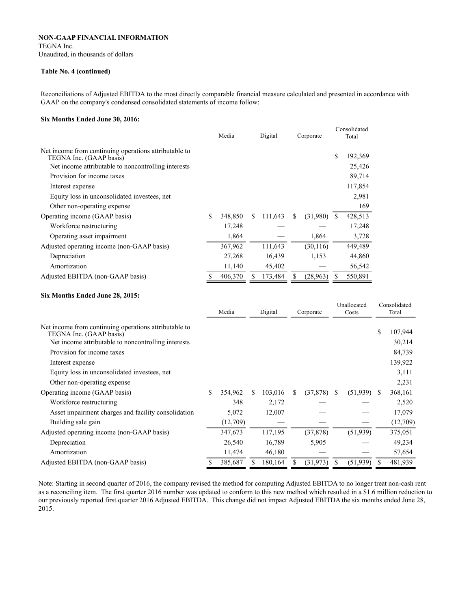# **NON-GAAP FINANCIAL INFORMATION** TEGNA Inc.

Unaudited, in thousands of dollars

#### **Table No. 4 (continued)**

Reconciliations of Adjusted EBITDA to the most directly comparable financial measure calculated and presented in accordance with GAAP on the company's condensed consolidated statements of income follow:

#### **Six Months Ended June 30, 2016:**

|                                                                                  | Media |         |   | Digital |   | Corporate |   | Consolidated<br>Total |  |
|----------------------------------------------------------------------------------|-------|---------|---|---------|---|-----------|---|-----------------------|--|
| Net income from continuing operations attributable to<br>TEGNA Inc. (GAAP basis) |       |         |   |         |   |           | S | 192,369               |  |
| Net income attributable to noncontrolling interests                              |       |         |   |         |   |           |   | 25,426                |  |
| Provision for income taxes                                                       |       |         |   |         |   |           |   | 89,714                |  |
| Interest expense                                                                 |       |         |   |         |   |           |   | 117,854               |  |
| Equity loss in unconsolidated investees, net                                     |       |         |   |         |   |           |   | 2,981                 |  |
| Other non-operating expense                                                      |       |         |   |         |   |           |   | 169                   |  |
| Operating income (GAAP basis)                                                    | \$    | 348,850 | S | 111,643 | S | (31,980)  | S | 428,513               |  |
| Workforce restructuring                                                          |       | 17,248  |   |         |   |           |   | 17,248                |  |
| Operating asset impairment                                                       |       | 1,864   |   |         |   | 1,864     |   | 3,728                 |  |
| Adjusted operating income (non-GAAP basis)                                       |       | 367,962 |   | 111,643 |   | (30, 116) |   | 449,489               |  |
| Depreciation                                                                     |       | 27,268  |   | 16,439  |   | 1,153     |   | 44,860                |  |
| Amortization                                                                     |       | 11,140  |   | 45,402  |   |           |   | 56,542                |  |
| Adjusted EBITDA (non-GAAP basis)                                                 | S     | 406,370 |   | 173,484 |   | (28,963)  |   | 550,891               |  |

#### **Six Months Ended June 28, 2015:**

|                                                                                  | Digital<br>Media |   | Corporate |   | Unallocated<br>Costs |    |           | Consolidated<br>Total |          |
|----------------------------------------------------------------------------------|------------------|---|-----------|---|----------------------|----|-----------|-----------------------|----------|
|                                                                                  |                  |   |           |   |                      |    |           |                       |          |
| Net income from continuing operations attributable to<br>TEGNA Inc. (GAAP basis) |                  |   |           |   |                      |    |           | \$                    | 107,944  |
| Net income attributable to noncontrolling interests                              |                  |   |           |   |                      |    |           |                       | 30,214   |
| Provision for income taxes                                                       |                  |   |           |   |                      |    |           |                       | 84,739   |
| Interest expense                                                                 |                  |   |           |   |                      |    |           |                       | 139,922  |
| Equity loss in unconsolidated investees, net                                     |                  |   |           |   |                      |    |           |                       | 3,111    |
| Other non-operating expense                                                      |                  |   |           |   |                      |    |           |                       | 2,231    |
| Operating income (GAAP basis)                                                    | \$<br>354,962    | S | 103,016   | S | (37, 878)            | -S | (51, 939) | S                     | 368,161  |
| Workforce restructuring                                                          | 348              |   | 2,172     |   |                      |    |           |                       | 2,520    |
| Asset impairment charges and facility consolidation                              | 5,072            |   | 12,007    |   |                      |    |           |                       | 17,079   |
| Building sale gain                                                               | (12,709)         |   |           |   |                      |    |           |                       | (12,709) |
| Adjusted operating income (non-GAAP basis)                                       | 347,673          |   | 117,195   |   | (37, 878)            |    | (51,939)  |                       | 375,051  |
| Depreciation                                                                     | 26,540           |   | 16,789    |   | 5,905                |    |           |                       | 49,234   |
| Amortization                                                                     | 11,474           |   | 46,180    |   |                      |    |           |                       | 57,654   |
| Adjusted EBITDA (non-GAAP basis)                                                 | 385,687          |   | 180,164   |   | (31, 973)            | S  | (51, 939) |                       | 481,939  |

Note: Starting in second quarter of 2016, the company revised the method for computing Adjusted EBITDA to no longer treat non-cash rent as a reconciling item. The first quarter 2016 number was updated to conform to this new method which resulted in a \$1.6 million reduction to our previously reported first quarter 2016 Adjusted EBITDA. This change did not impact Adjusted EBITDA the six months ended June 28, 2015.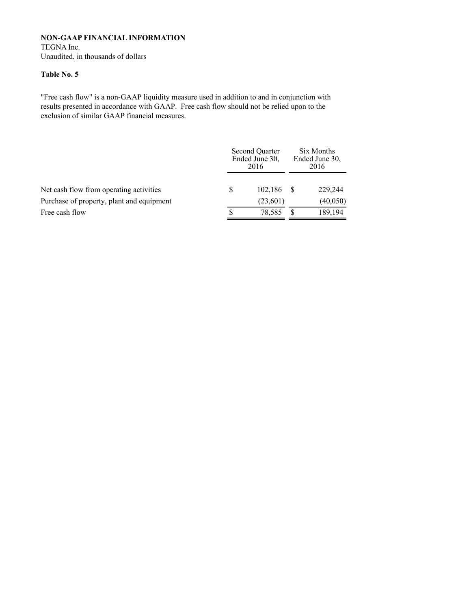TEGNA Inc. Unaudited, in thousands of dollars

## **Table No. 5**

"Free cash flow" is a non-GAAP liquidity measure used in addition to and in conjunction with results presented in accordance with GAAP. Free cash flow should not be relied upon to the exclusion of similar GAAP financial measures.

|                                           |   | Second Quarter<br>Ended June 30,<br>2016 | Six Months<br>Ended June 30.<br>2016 |  |  |
|-------------------------------------------|---|------------------------------------------|--------------------------------------|--|--|
| Net cash flow from operating activities   | S | 102,186                                  | 229,244                              |  |  |
| Purchase of property, plant and equipment |   | (23,601)                                 | (40,050)                             |  |  |
| Free cash flow                            |   | 78.585                                   | 189,194                              |  |  |